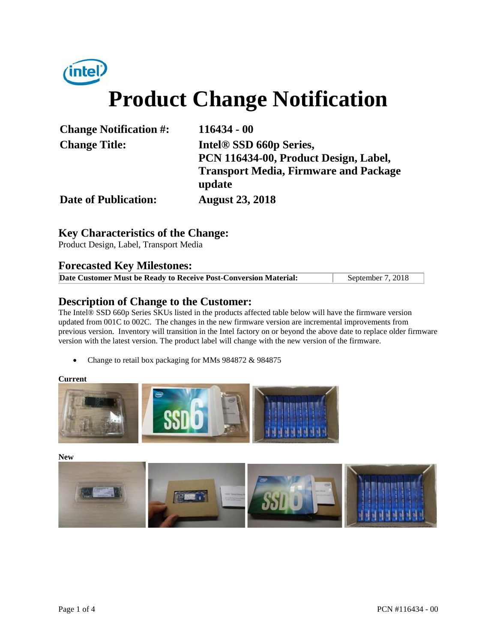

| <b>Change Notification #:</b> | 116434 - 00                                  |  |  |  |  |
|-------------------------------|----------------------------------------------|--|--|--|--|
| <b>Change Title:</b>          | Intel <sup>®</sup> SSD 660p Series,          |  |  |  |  |
|                               | PCN 116434-00, Product Design, Label,        |  |  |  |  |
|                               | <b>Transport Media, Firmware and Package</b> |  |  |  |  |
|                               | update                                       |  |  |  |  |
| <b>Date of Publication:</b>   | <b>August 23, 2018</b>                       |  |  |  |  |

# **Key Characteristics of the Change:**

Product Design, Label, Transport Media

### **Forecasted Key Milestones:**

| Date Customer Must be Ready to Receive Post-Conversion Material: | September 7, 2018 |
|------------------------------------------------------------------|-------------------|

## **Description of Change to the Customer:**

The Intel® SSD 660p Series SKUs listed in the products affected table below will have the firmware version updated from 001C to 002C. The changes in the new firmware version are incremental improvements from previous version. Inventory will transition in the Intel factory on or beyond the above date to replace older firmware version with the latest version. The product label will change with the new version of the firmware.

• Change to retail box packaging for MMs 984872 & 984875

#### **Current**



**New** 

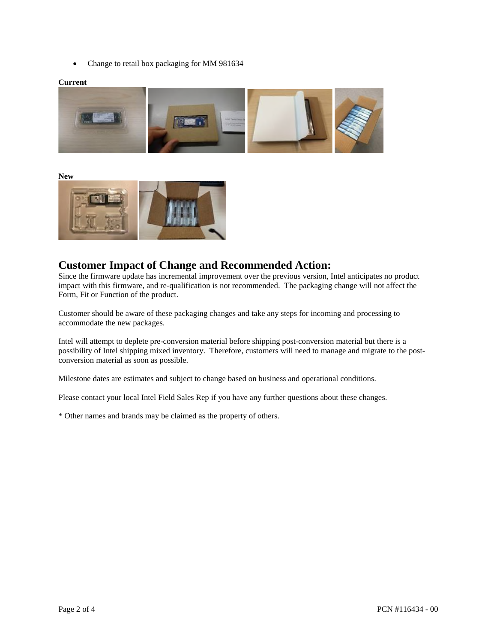• Change to retail box packaging for MM 981634

#### **Current**



**New** 



## **Customer Impact of Change and Recommended Action:**

Since the firmware update has incremental improvement over the previous version, Intel anticipates no product impact with this firmware, and re-qualification is not recommended. The packaging change will not affect the Form, Fit or Function of the product.

Customer should be aware of these packaging changes and take any steps for incoming and processing to accommodate the new packages.

Intel will attempt to deplete pre-conversion material before shipping post-conversion material but there is a possibility of Intel shipping mixed inventory. Therefore, customers will need to manage and migrate to the postconversion material as soon as possible.

Milestone dates are estimates and subject to change based on business and operational conditions.

Please contact your local Intel Field Sales Rep if you have any further questions about these changes.

\* Other names and brands may be claimed as the property of others.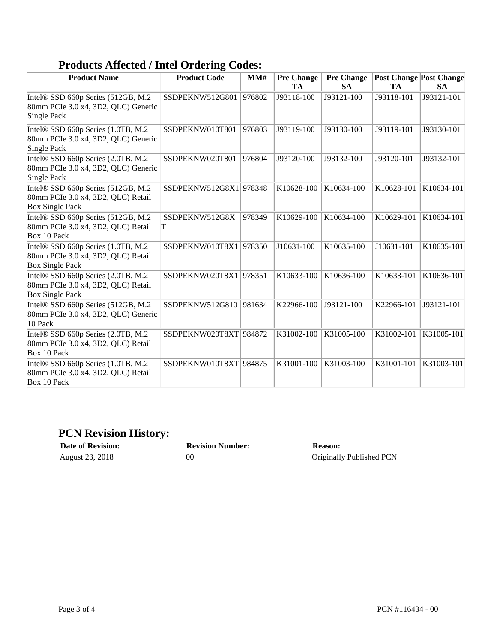# **Products Affected / Intel Ordering Codes:**

| <b>Product Name</b>                                                                                | o<br><b>Product Code</b> | MM#    | <b>Pre Change</b> | <b>Pre Change</b> | <b>Post Change Post Change</b> |            |
|----------------------------------------------------------------------------------------------------|--------------------------|--------|-------------------|-------------------|--------------------------------|------------|
|                                                                                                    |                          |        | TA                | <b>SA</b>         | TA                             | <b>SA</b>  |
| Intel® SSD 660p Series (512GB, M.2<br>80mm PCIe 3.0 x4, 3D2, QLC) Generic<br>Single Pack           | SSDPEKNW512G801          | 976802 | J93118-100        | J93121-100        | J93118-101                     | J93121-101 |
| Intel® SSD 660p Series (1.0TB, M.2<br>80mm PCIe 3.0 x4, 3D2, QLC) Generic<br>Single Pack           | SSDPEKNW010T801          | 976803 | J93119-100        | J93130-100        | J93119-101                     | J93130-101 |
| Intel® SSD 660p Series (2.0TB, M.2<br>80mm PCIe 3.0 x4, 3D2, QLC) Generic<br>Single Pack           | SSDPEKNW020T801          | 976804 | J93120-100        | J93132-100        | J93120-101                     | J93132-101 |
| Intel® SSD 660p Series (512GB, M.2<br>80mm PCIe 3.0 x4, 3D2, QLC) Retail<br><b>Box Single Pack</b> | SSDPEKNW512G8X1 978348   |        | K10628-100        | K10634-100        | K10628-101                     | K10634-101 |
| Intel® SSD 660p Series (512GB, M.2<br>80mm PCIe 3.0 x4, 3D2, QLC) Retail<br>Box 10 Pack            | SSDPEKNW512G8X<br>T      | 978349 | K10629-100        | K10634-100        | K10629-101                     | K10634-101 |
| Intel® SSD 660p Series (1.0TB, M.2<br>80mm PCIe 3.0 x4, 3D2, QLC) Retail<br><b>Box Single Pack</b> | SSDPEKNW010T8X1          | 978350 | J10631-100        | K10635-100        | J10631-101                     | K10635-101 |
| Intel® SSD 660p Series (2.0TB, M.2<br>80mm PCIe 3.0 x4, 3D2, QLC) Retail<br><b>Box Single Pack</b> | SSDPEKNW020T8X1          | 978351 | K10633-100        | K10636-100        | K10633-101                     | K10636-101 |
| Intel® SSD 660p Series (512GB, M.2<br>80mm PCIe 3.0 x4, 3D2, QLC) Generic<br>10 Pack               | SSDPEKNW512G810          | 981634 | K22966-100        | J93121-100        | K22966-101                     | J93121-101 |
| Intel® SSD 660p Series (2.0TB, M.2<br>80mm PCIe 3.0 x4, 3D2, QLC) Retail<br>Box 10 Pack            | SSDPEKNW020T8XT 984872   |        | K31002-100        | K31005-100        | K31002-101                     | K31005-101 |
| Intel® SSD 660p Series (1.0TB, M.2<br>80mm PCIe 3.0 x4, 3D2, QLC) Retail<br>Box 10 Pack            | SSDPEKNW010T8XT 984875   |        | K31001-100        | K31003-100        | K31001-101                     | K31003-101 |

# **PCN Revision History:**

| Date of Revision: |  |  |  |  |  |
|-------------------|--|--|--|--|--|
| August 23, 2018   |  |  |  |  |  |

**Date of Revision: Revision Number: Reason:**

00 Originally Published PCN